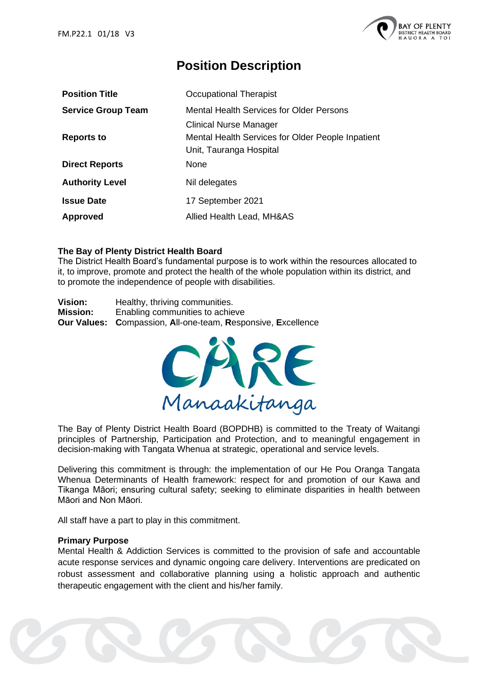

# **Position Description**

| <b>Position Title</b>     | Occupational Therapist                            |
|---------------------------|---------------------------------------------------|
| <b>Service Group Team</b> | <b>Mental Health Services for Older Persons</b>   |
|                           | <b>Clinical Nurse Manager</b>                     |
| <b>Reports to</b>         | Mental Health Services for Older People Inpatient |
|                           | Unit, Tauranga Hospital                           |
| <b>Direct Reports</b>     | None                                              |
| <b>Authority Level</b>    | Nil delegates                                     |
| <b>Issue Date</b>         | 17 September 2021                                 |
| Approved                  | Allied Health Lead, MH&AS                         |

# **The Bay of Plenty District Health Board**

The District Health Board's fundamental purpose is to work within the resources allocated to it, to improve, promote and protect the health of the whole population within its district, and to promote the independence of people with disabilities.

**Vision:** Healthy, thriving communities. **Mission:** Enabling communities to achieve **Our Values: C**ompassion, **A**ll-one-team, **R**esponsive, **E**xcellence



The Bay of Plenty District Health Board (BOPDHB) is committed to the Treaty of Waitangi principles of Partnership, Participation and Protection, and to meaningful engagement in decision-making with Tangata Whenua at strategic, operational and service levels.

Delivering this commitment is through: the implementation of our He Pou Oranga Tangata Whenua Determinants of Health framework: respect for and promotion of our Kawa and Tikanga Māori; ensuring cultural safety; seeking to eliminate disparities in health between Māori and Non Māori.

All staff have a part to play in this commitment.

## **Primary Purpose**

Mental Health & Addiction Services is committed to the provision of safe and accountable acute response services and dynamic ongoing care delivery. Interventions are predicated on robust assessment and collaborative planning using a holistic approach and authentic therapeutic engagement with the client and his/her family.

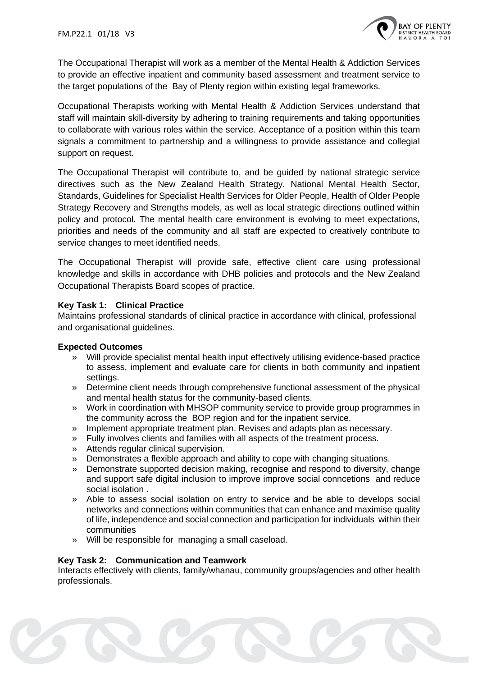

The Occupational Therapist will work as a member of the Mental Health & Addiction Services to provide an effective inpatient and community based assessment and treatment service to the target populations of the Bay of Plenty region within existing legal frameworks.

Occupational Therapists working with Mental Health & Addiction Services understand that staff will maintain skill-diversity by adhering to training requirements and taking opportunities to collaborate with various roles within the service. Acceptance of a position within this team signals a commitment to partnership and a willingness to provide assistance and collegial support on request.

The Occupational Therapist will contribute to, and be guided by national strategic service directives such as the New Zealand Health Strategy. National Mental Health Sector, Standards, Guidelines for Specialist Health Services for Older People, Health of Older People Strategy Recovery and Strengths models, as well as local strategic directions outlined within policy and protocol. The mental health care environment is evolving to meet expectations, priorities and needs of the community and all staff are expected to creatively contribute to service changes to meet identified needs.

The Occupational Therapist will provide safe, effective client care using professional knowledge and skills in accordance with DHB policies and protocols and the New Zealand Occupational Therapists Board scopes of practice.

# **Key Task 1: Clinical Practice**

Maintains professional standards of clinical practice in accordance with clinical, professional and organisational guidelines.

## **Expected Outcomes**

- » Will provide specialist mental health input effectively utilising evidence-based practice to assess, implement and evaluate care for clients in both community and inpatient settings.
- » Determine client needs through comprehensive functional assessment of the physical and mental health status for the community-based clients.
- » Work in coordination with MHSOP community service to provide group programmes in the community across the BOP region and for the inpatient service.
- » Implement appropriate treatment plan. Revises and adapts plan as necessary.
- » Fully involves clients and families with all aspects of the treatment process.
- » Attends regular clinical supervision.
- » Demonstrates a flexible approach and ability to cope with changing situations.
- » Demonstrate supported decision making, recognise and respond to diversity, change and support safe digital inclusion to improve improve social conncetions and reduce social isolation .
- » Able to assess social isolation on entry to service and be able to develops social networks and connections within communities that can enhance and maximise quality of life, independence and social connection and participation for individuals within their communities
- » Will be responsible for managing a small caseload.

## **Key Task 2: Communication and Teamwork**

Interacts effectively with clients, family/whanau, community groups/agencies and other health professionals.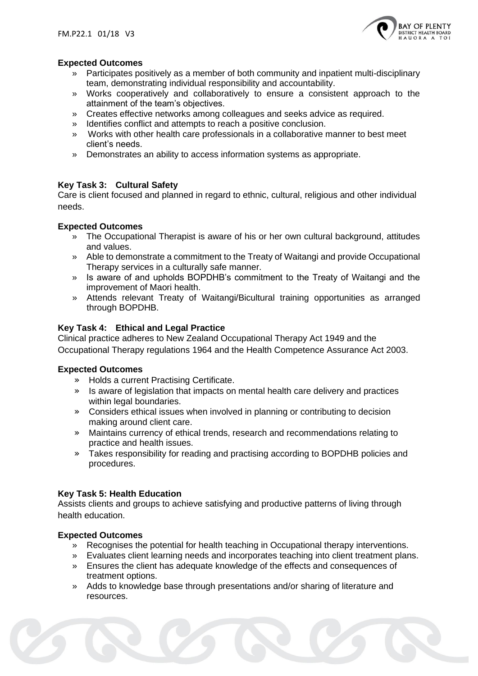

# **Expected Outcomes**

- » Participates positively as a member of both community and inpatient multi-disciplinary team, demonstrating individual responsibility and accountability.
- » Works cooperatively and collaboratively to ensure a consistent approach to the attainment of the team's objectives.
- » Creates effective networks among colleagues and seeks advice as required.
- » Identifies conflict and attempts to reach a positive conclusion.
- » Works with other health care professionals in a collaborative manner to best meet client's needs.
- » Demonstrates an ability to access information systems as appropriate.

# **Key Task 3: Cultural Safety**

Care is client focused and planned in regard to ethnic, cultural, religious and other individual needs.

## **Expected Outcomes**

- » The Occupational Therapist is aware of his or her own cultural background, attitudes and values.
- » Able to demonstrate a commitment to the Treaty of Waitangi and provide Occupational Therapy services in a culturally safe manner.
- » Is aware of and upholds BOPDHB's commitment to the Treaty of Waitangi and the improvement of Maori health.
- » Attends relevant Treaty of Waitangi/Bicultural training opportunities as arranged through BOPDHB.

# **Key Task 4: Ethical and Legal Practice**

Clinical practice adheres to New Zealand Occupational Therapy Act 1949 and the Occupational Therapy regulations 1964 and the Health Competence Assurance Act 2003.

## **Expected Outcomes**

- » Holds a current Practising Certificate.
- » Is aware of legislation that impacts on mental health care delivery and practices within legal boundaries.
- » Considers ethical issues when involved in planning or contributing to decision making around client care.
- » Maintains currency of ethical trends, research and recommendations relating to practice and health issues.
- » Takes responsibility for reading and practising according to BOPDHB policies and procedures.

## **Key Task 5: Health Education**

Assists clients and groups to achieve satisfying and productive patterns of living through health education.

## **Expected Outcomes**

- » Recognises the potential for health teaching in Occupational therapy interventions.
- » Evaluates client learning needs and incorporates teaching into client treatment plans.
- » Ensures the client has adequate knowledge of the effects and consequences of treatment options.
- » Adds to knowledge base through presentations and/or sharing of literature and resources.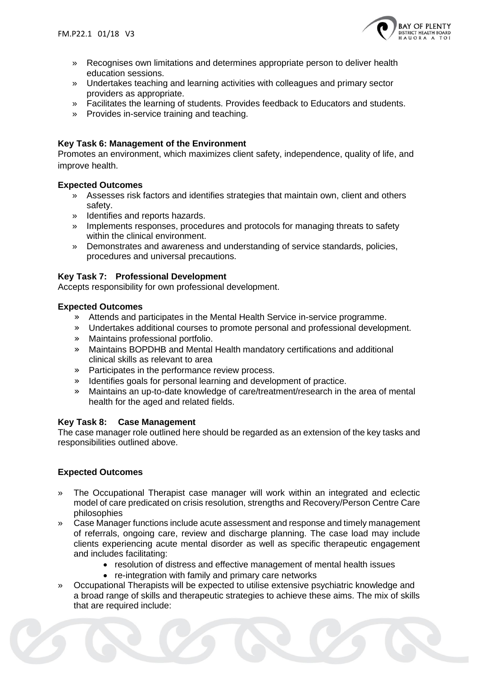

- » Recognises own limitations and determines appropriate person to deliver health education sessions.
- » Undertakes teaching and learning activities with colleagues and primary sector providers as appropriate.
- » Facilitates the learning of students. Provides feedback to Educators and students.
- » Provides in-service training and teaching.

# **Key Task 6: Management of the Environment**

Promotes an environment, which maximizes client safety, independence, quality of life, and improve health.

## **Expected Outcomes**

- » Assesses risk factors and identifies strategies that maintain own, client and others safety.
- » Identifies and reports hazards.
- » Implements responses, procedures and protocols for managing threats to safety within the clinical environment.
- » Demonstrates and awareness and understanding of service standards, policies, procedures and universal precautions.

# **Key Task 7: Professional Development**

Accepts responsibility for own professional development.

# **Expected Outcomes**

- » Attends and participates in the Mental Health Service in-service programme.
- » Undertakes additional courses to promote personal and professional development.
- » Maintains professional portfolio.
- » Maintains BOPDHB and Mental Health mandatory certifications and additional clinical skills as relevant to area
- » Participates in the performance review process.
- » Identifies goals for personal learning and development of practice.
- » Maintains an up-to-date knowledge of care/treatment/research in the area of mental health for the aged and related fields.

## **Key Task 8: Case Management**

The case manager role outlined here should be regarded as an extension of the key tasks and responsibilities outlined above.

## **Expected Outcomes**

- » The Occupational Therapist case manager will work within an integrated and eclectic model of care predicated on crisis resolution, strengths and Recovery/Person Centre Care philosophies
- » Case Manager functions include acute assessment and response and timely management of referrals, ongoing care, review and discharge planning. The case load may include clients experiencing acute mental disorder as well as specific therapeutic engagement and includes facilitating:
	- resolution of distress and effective management of mental health issues
	- re-integration with family and primary care networks
- » Occupational Therapists will be expected to utilise extensive psychiatric knowledge and a broad range of skills and therapeutic strategies to achieve these aims. The mix of skills that are required include: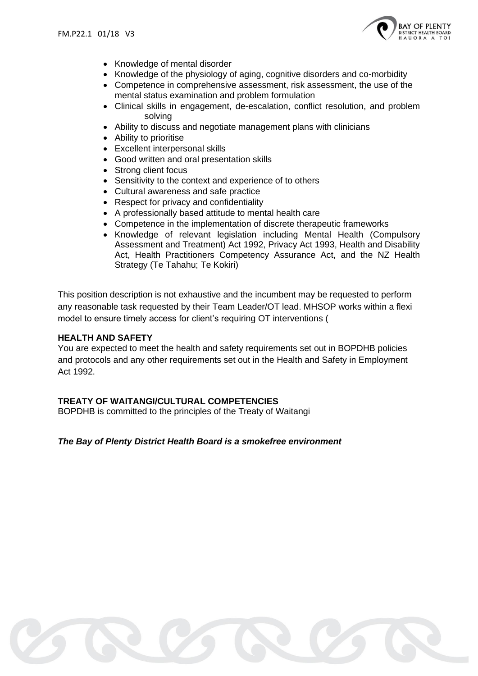

- Knowledge of mental disorder
- Knowledge of the physiology of aging, cognitive disorders and co-morbidity
- Competence in comprehensive assessment, risk assessment, the use of the mental status examination and problem formulation
- Clinical skills in engagement, de-escalation, conflict resolution, and problem solving
- Ability to discuss and negotiate management plans with clinicians
- Ability to prioritise
- Excellent interpersonal skills
- Good written and oral presentation skills
- Strong client focus
- Sensitivity to the context and experience of to others
- Cultural awareness and safe practice
- Respect for privacy and confidentiality
- A professionally based attitude to mental health care
- Competence in the implementation of discrete therapeutic frameworks
- Knowledge of relevant legislation including Mental Health (Compulsory Assessment and Treatment) Act 1992, Privacy Act 1993, Health and Disability Act, Health Practitioners Competency Assurance Act, and the NZ Health Strategy (Te Tahahu; Te Kokiri)

This position description is not exhaustive and the incumbent may be requested to perform any reasonable task requested by their Team Leader/OT lead. MHSOP works within a flexi model to ensure timely access for client's requiring OT interventions (

## **HEALTH AND SAFETY**

You are expected to meet the health and safety requirements set out in BOPDHB policies and protocols and any other requirements set out in the Health and Safety in Employment Act 1992.

# **TREATY OF WAITANGI/CULTURAL COMPETENCIES**

BOPDHB is committed to the principles of the Treaty of Waitangi

# *The Bay of Plenty District Health Board is a smokefree environment*

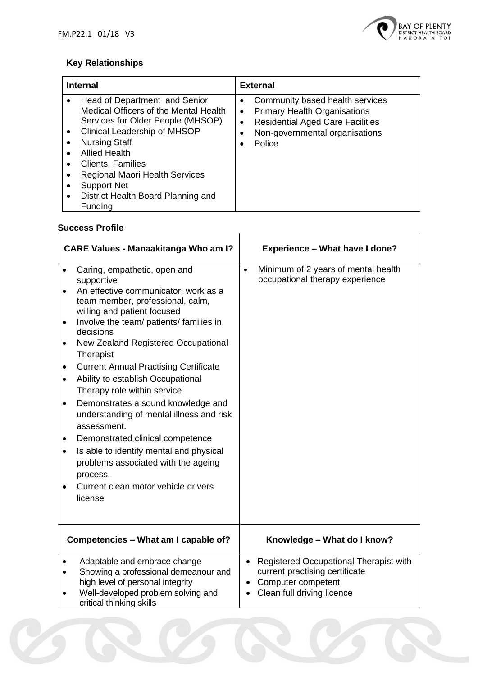

# **Key Relationships**

| <b>Internal</b>                                                                                                                                                                                                                                                                                                                                | <b>External</b>                                                                                                                                                                                      |
|------------------------------------------------------------------------------------------------------------------------------------------------------------------------------------------------------------------------------------------------------------------------------------------------------------------------------------------------|------------------------------------------------------------------------------------------------------------------------------------------------------------------------------------------------------|
| Head of Department and Senior<br>Medical Officers of the Mental Health<br>Services for Older People (MHSOP)<br><b>Clinical Leadership of MHSOP</b><br><b>Nursing Staff</b><br><b>Allied Health</b><br>Clients, Families<br><b>Regional Maori Health Services</b><br><b>Support Net</b><br>District Health Board Planning and<br><b>Funding</b> | Community based health services<br>$\bullet$<br><b>Primary Health Organisations</b><br>$\bullet$<br><b>Residential Aged Care Facilities</b><br>$\bullet$<br>Non-governmental organisations<br>Police |

# **Success Profile**

| <b>CARE Values - Manaakitanga Who am I?</b>                                                                                                                                                                                                                                                                                                                                                                                                                                                                                                                                                                                                                                                                                                                                     | <b>Experience - What have I done?</b>                                                                                          |  |
|---------------------------------------------------------------------------------------------------------------------------------------------------------------------------------------------------------------------------------------------------------------------------------------------------------------------------------------------------------------------------------------------------------------------------------------------------------------------------------------------------------------------------------------------------------------------------------------------------------------------------------------------------------------------------------------------------------------------------------------------------------------------------------|--------------------------------------------------------------------------------------------------------------------------------|--|
| Caring, empathetic, open and<br>$\bullet$<br>supportive<br>An effective communicator, work as a<br>$\bullet$<br>team member, professional, calm,<br>willing and patient focused<br>Involve the team/ patients/ families in<br>٠<br>decisions<br>New Zealand Registered Occupational<br>$\bullet$<br>Therapist<br><b>Current Annual Practising Certificate</b><br>$\bullet$<br>Ability to establish Occupational<br>$\bullet$<br>Therapy role within service<br>Demonstrates a sound knowledge and<br>$\bullet$<br>understanding of mental illness and risk<br>assessment.<br>Demonstrated clinical competence<br>٠<br>Is able to identify mental and physical<br>$\bullet$<br>problems associated with the ageing<br>process.<br>Current clean motor vehicle drivers<br>license | Minimum of 2 years of mental health<br>$\bullet$<br>occupational therapy experience                                            |  |
| Competencies - What am I capable of?                                                                                                                                                                                                                                                                                                                                                                                                                                                                                                                                                                                                                                                                                                                                            | Knowledge - What do I know?                                                                                                    |  |
| Adaptable and embrace change<br>$\bullet$<br>Showing a professional demeanour and<br>high level of personal integrity<br>Well-developed problem solving and<br>critical thinking skills                                                                                                                                                                                                                                                                                                                                                                                                                                                                                                                                                                                         | • Registered Occupational Therapist with<br>current practising certificate<br>Computer competent<br>Clean full driving licence |  |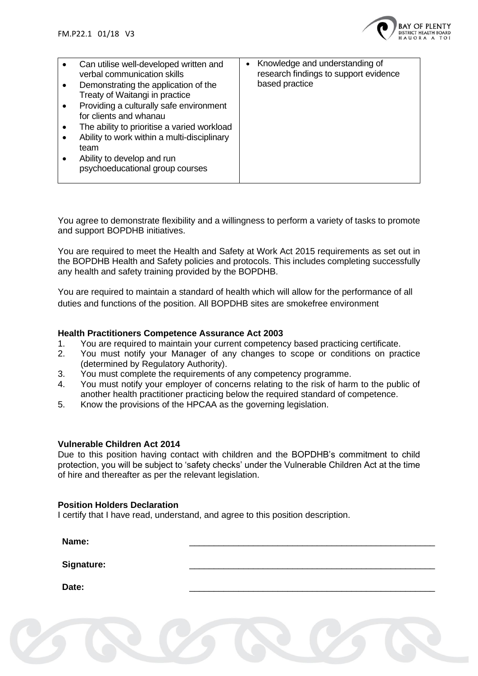

You agree to demonstrate flexibility and a willingness to perform a variety of tasks to promote and support BOPDHB initiatives.

You are required to meet the Health and Safety at Work Act 2015 requirements as set out in the BOPDHB Health and Safety policies and protocols. This includes completing successfully any health and safety training provided by the BOPDHB.

You are required to maintain a standard of health which will allow for the performance of all duties and functions of the position. All BOPDHB sites are smokefree environment

## **Health Practitioners Competence Assurance Act 2003**

- 1. You are required to maintain your current competency based practicing certificate.
- 2. You must notify your Manager of any changes to scope or conditions on practice (determined by Regulatory Authority).
- 3. You must complete the requirements of any competency programme.
- 4. You must notify your employer of concerns relating to the risk of harm to the public of another health practitioner practicing below the required standard of competence.
- 5. Know the provisions of the HPCAA as the governing legislation.

## **Vulnerable Children Act 2014**

Due to this position having contact with children and the BOPDHB's commitment to child protection, you will be subject to 'safety checks' under the Vulnerable Children Act at the time of hire and thereafter as per the relevant legislation.

## **Position Holders Declaration**

I certify that I have read, understand, and agree to this position description.

| Name:             |  |
|-------------------|--|
| <b>Signature:</b> |  |
| Date:             |  |
|                   |  |